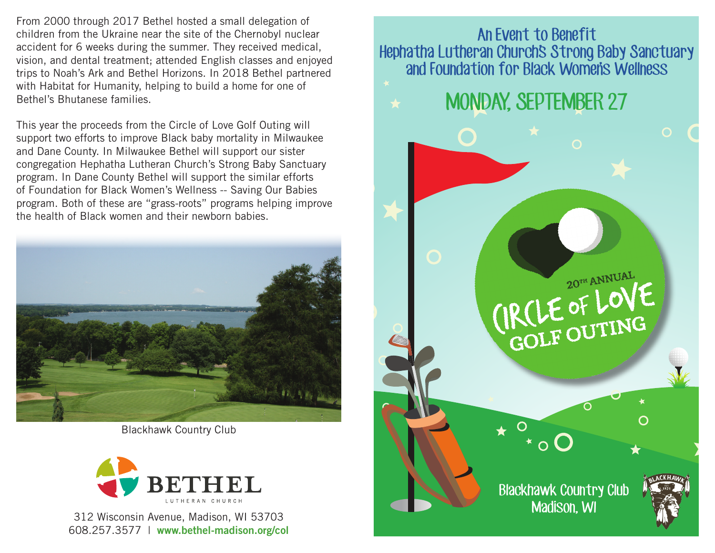From 2000 through 2017 Bethel hosted a small delegation of children from the Ukraine near the site of the Chernobyl nuclear accident for 6 weeks during the summer. They received medical, vision, and dental treatment; attended English classes and enjoyed trips to Noah's Ark and Bethel Horizons. In 2018 Bethel partnered with Habitat for Humanity, helping to build a home for one of Bethel's Bhutanese families.

This year the proceeds from the Circle of Love Golf Outing will support two efforts to improve Black baby mortality in Milwaukee and Dane County. In Milwaukee Bethel will support our sister congregation Hephatha Lutheran Church's Strong Baby Sanctuary program. In Dane County Bethel will support the similar efforts of Foundation for Black Women's Wellness -- Saving Our Babies program. Both of these are "grass-roots" programs helping improve the health of Black women and their newborn babies.



Blackhawk Country Club



312 Wisconsin Avenue, Madison, WI 53703 608.257.3577 | **www.bethel-madison.org/col**